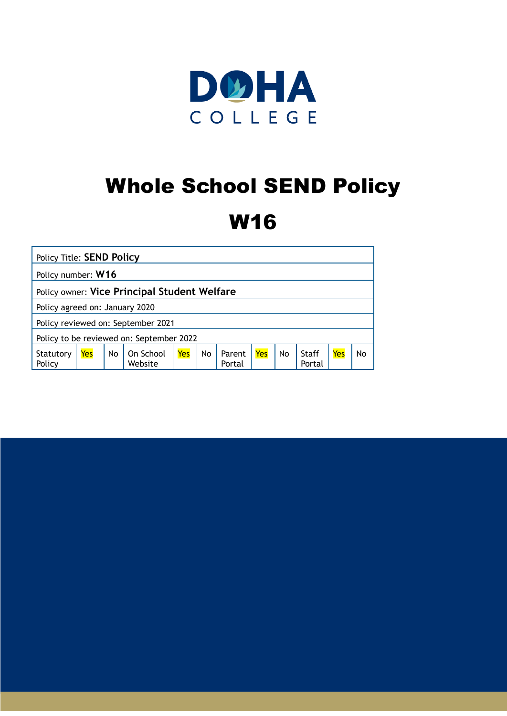

# Whole School SEND Policy

## W16

| <b>Policy Title: SEND Policy</b>             |     |    |                      |     |    |                  |     |           |                 |     |    |
|----------------------------------------------|-----|----|----------------------|-----|----|------------------|-----|-----------|-----------------|-----|----|
| Policy number: W16                           |     |    |                      |     |    |                  |     |           |                 |     |    |
| Policy owner: Vice Principal Student Welfare |     |    |                      |     |    |                  |     |           |                 |     |    |
| Policy agreed on: January 2020               |     |    |                      |     |    |                  |     |           |                 |     |    |
| Policy reviewed on: September 2021           |     |    |                      |     |    |                  |     |           |                 |     |    |
| Policy to be reviewed on: September 2022     |     |    |                      |     |    |                  |     |           |                 |     |    |
| Statutory<br>Policy                          | Yes | No | On School<br>Website | Yes | No | Parent<br>Portal | Yes | <b>No</b> | Staff<br>Portal | Yes | No |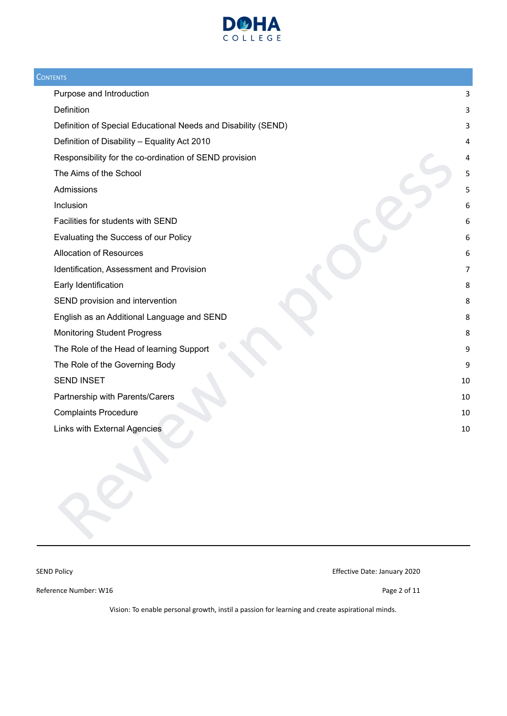

| <b>CONTENTS</b>                                               |    |
|---------------------------------------------------------------|----|
| Purpose and Introduction                                      | 3  |
| Definition                                                    | 3  |
| Definition of Special Educational Needs and Disability (SEND) | 3  |
| Definition of Disability - Equality Act 2010                  | 4  |
| Responsibility for the co-ordination of SEND provision        | 4  |
| The Aims of the School                                        | 5  |
| Admissions                                                    | 5  |
| Inclusion                                                     | 6  |
| Facilities for students with SEND                             | 6  |
| Evaluating the Success of our Policy                          | 6  |
| <b>Allocation of Resources</b>                                | 6  |
| Identification, Assessment and Provision                      | 7  |
| Early Identification                                          | 8  |
| SEND provision and intervention                               | 8  |
| English as an Additional Language and SEND                    | 8  |
| <b>Monitoring Student Progress</b>                            | 8  |
| The Role of the Head of learning Support                      | 9  |
| The Role of the Governing Body                                | 9  |
| <b>SEND INSET</b>                                             | 10 |
| Partnership with Parents/Carers                               | 10 |
| <b>Complaints Procedure</b>                                   | 10 |
| Links with External Agencies                                  | 10 |
|                                                               |    |

SEND Policy **Effective Date: January 2020** 

Reference Number: W16 Page 2 of 11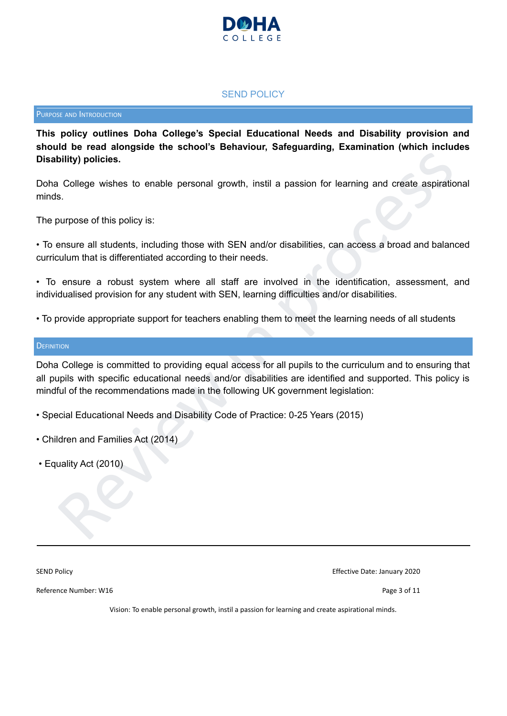

### SEND POLICY

#### <span id="page-2-0"></span>PURPOSE AND INTRODUCTION

**This policy outlines Doha College's Special Educational Needs and Disability provision and should be read alongside the school's Behaviour, Safeguarding, Examination (which includes Disability) policies.**

Doha College wishes to enable personal growth, instil a passion for learning and create aspirational minds.

The purpose of this policy is:

• To ensure all students, including those with SEN and/or disabilities, can access a broad and balanced curriculum that is differentiated according to their needs.

• To ensure a robust system where all staff are involved in the identification, assessment, and individualised provision for any student with SEN, learning difficulties and/or disabilities.

• To provide appropriate support for teachers enabling them to meet the learning needs of all students

#### <span id="page-2-1"></span>**DEFINITION**

College wishes to enable personal growth, instil a passion for learning and create aspirational<br>s.<br>Durings of this policy is:<br>menure all students, including those with SEN and/or disabilities, can access a broad and balanc Doha College is committed to providing equal access for all pupils to the curriculum and to ensuring that all pupils with specific educational needs and/or disabilities are identified and supported. This policy is mindful of the recommendations made in the following UK government legislation:

• Special Educational Needs and Disability Code of Practice: 0-25 Years (2015)

- Children and Families Act (2014)
- Equality Act (2010)

SEND Policy Effective Date: January 2020

Reference Number: W16 Page 3 of 11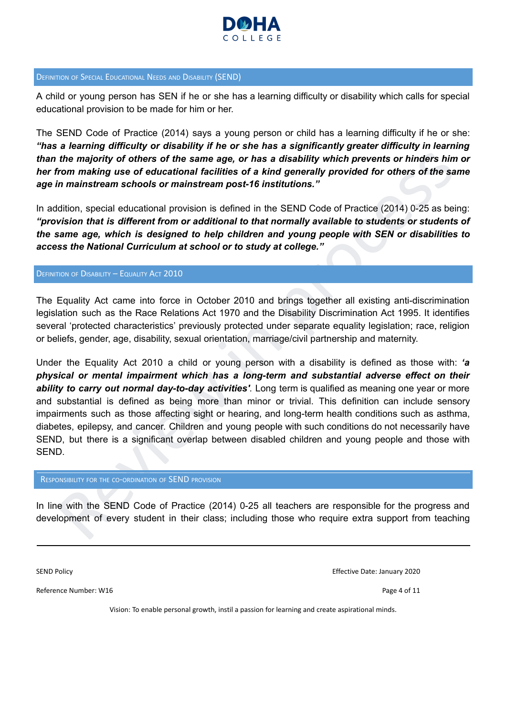

### <span id="page-3-0"></span>DEFINITION OF SPECIAL EDUCATIONAL NEEDS AND DISABILITY (SEND)

A child or young person has SEN if he or she has a learning difficulty or disability which calls for special educational provision to be made for him or her.

The SEND Code of Practice (2014) says a young person or child has a learning difficulty if he or she: *"has a learning difficulty or disability if he or she has a significantly greater difficulty in learning* than the majority of others of the same age, or has a disability which prevents or hinders him or *her from making use of educational facilities of a kind generally provided for others of the same age in mainstream schools or mainstream post-16 institutions."*

In addition, special educational provision is defined in the SEND Code of Practice (2014) 0-25 as being: *"provision that is different from or additional to that normally available to students or students of the same age, which is designed to help children and young people with SEN or disabilities to access the National Curriculum at school or to study at college."*

#### <span id="page-3-1"></span>DEFINITION OF DISABILITY – EQUALITY ACT 2010

The Equality Act came into force in October 2010 and brings together all existing anti-discrimination legislation such as the Race Relations Act 1970 and the Disability Discrimination Act 1995. It identifies several 'protected characteristics' previously protected under separate equality legislation; race, religion or beliefs, gender, age, disability, sexual orientation, marriage/civil partnership and maternity.

the majority of others of the same age, or has a disability which prevents or hinders him or<br>from making use of educational facilities of a kind generally provided for others of the same<br>in mainstream schools or mainstream Under the Equality Act 2010 a child or young person with a disability is defined as those with: *'a physical or mental impairment which has a long-term and substantial adverse effect on their ability to carry out normal day-to-day activities'*. Long term is qualified as meaning one year or more and substantial is defined as being more than minor or trivial. This definition can include sensory impairments such as those affecting sight or hearing, and long-term health conditions such as asthma, diabetes, epilepsy, and cancer. Children and young people with such conditions do not necessarily have SEND, but there is a significant overlap between disabled children and young people and those with SEND.

#### <span id="page-3-2"></span>RESPONSIBILITY FOR THE CO-ORDINATION OF SEND PROVISION

In line with the SEND Code of Practice (2014) 0-25 all teachers are responsible for the progress and development of every student in their class; including those who require extra support from teaching

SEND Policy Effective Date: January 2020

Reference Number: W16 Page 4 of 11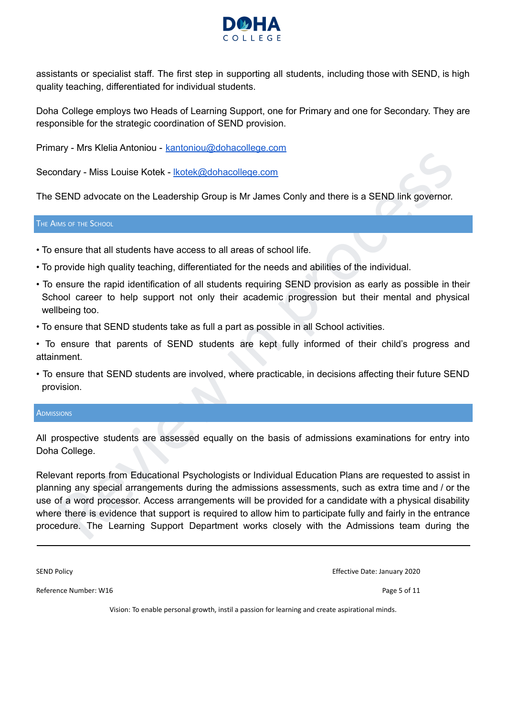

assistants or specialist staff. The first step in supporting all students, including those with SEND, is high quality teaching, differentiated for individual students.

Doha College employs two Heads of Learning Support, one for Primary and one for Secondary. They are responsible for the strategic coordination of SEND provision.

Primary - Mrs Klelia Antoniou - [kantoniou@dohacollege.com](mailto:kantoniou@dohacollege.com)

Secondary - Miss Louise Kotek - [lkotek@dohacollege.com](mailto:lkotek@dohacollege.com)

The SEND advocate on the Leadership Group is Mr James Conly and there is a SEND link governor.

<span id="page-4-0"></span>THE AIMS OF THE SCHOOL

- To ensure that all students have access to all areas of school life.
- To provide high quality teaching, differentiated for the needs and abilities of the individual.
- To ensure the rapid identification of all students requiring SEND provision as early as possible in their School career to help support not only their academic progression but their mental and physical wellbeing too.
- To ensure that SEND students take as full a part as possible in all School activities.
- To ensure that parents of SEND students are kept fully informed of their child's progress and attainment.
- To ensure that SEND students are involved, where practicable, in decisions affecting their future SEND provision.

#### <span id="page-4-1"></span>**ADMISSIONS**

All prospective students are assessed equally on the basis of admissions examinations for entry into Doha College.

ondary - Miss Louise Kotek - <u>Ikotek@dohacollege.com</u><br>SEND advocate on the Leadership Group is Mr James Conly and there is a SEND link governor.<br>
SEND advocate on the Leadership Group is Mr James Conly and there is a SEND Relevant reports from Educational Psychologists or Individual Education Plans are requested to assist in planning any special arrangements during the admissions assessments, such as extra time and / or the use of a word processor. Access arrangements will be provided for a candidate with a physical disability where there is evidence that support is required to allow him to participate fully and fairly in the entrance procedure. The Learning Support Department works closely with the Admissions team during the

SEND Policy Effective Date: January 2020

Reference Number: W16 Page 5 of 11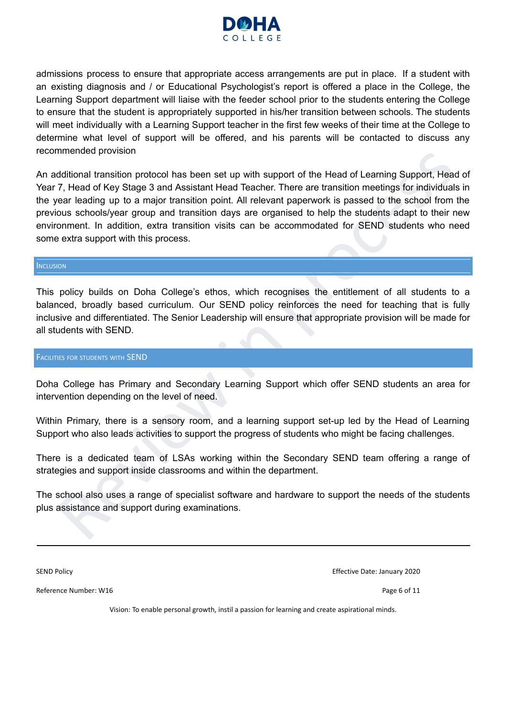

admissions process to ensure that appropriate access arrangements are put in place. If a student with an existing diagnosis and / or Educational Psychologist's report is offered a place in the College, the Learning Support department will liaise with the feeder school prior to the students entering the College to ensure that the student is appropriately supported in his/her transition between schools. The students will meet individually with a Learning Support teacher in the first few weeks of their time at the College to determine what level of support will be offered, and his parents will be contacted to discuss any recommended provision

mienced provision<br>
orthodical transition protocol has been set up with support of the Head of Learning Support, Head of<br>
7. Head of Key Stage 3 and Assistant Head Teacher. There are transition meetings for individuals in<br> An additional transition protocol has been set up with support of the Head of Learning Support, Head of Year 7, Head of Key Stage 3 and Assistant Head Teacher. There are transition meetings for individuals in the year leading up to a major transition point. All relevant paperwork is passed to the school from the previous schools/year group and transition days are organised to help the students adapt to their new environment. In addition, extra transition visits can be accommodated for SEND students who need some extra support with this process.

#### <span id="page-5-0"></span>**INCLUSION**

This policy builds on Doha College's ethos, which recognises the entitlement of all students to a balanced, broadly based curriculum. Our SEND policy reinforces the need for teaching that is fully inclusive and differentiated. The Senior Leadership will ensure that appropriate provision will be made for all students with SEND.

#### <span id="page-5-1"></span>FACILITIES FOR STUDENTS WITH SEND

Doha College has Primary and Secondary Learning Support which offer SEND students an area for intervention depending on the level of need.

Within Primary, there is a sensory room, and a learning support set-up led by the Head of Learning Support who also leads activities to support the progress of students who might be facing challenges.

There is a dedicated team of LSAs working within the Secondary SEND team offering a range of strategies and support inside classrooms and within the department.

The school also uses a range of specialist software and hardware to support the needs of the students plus assistance and support during examinations.

SEND Policy Effective Date: January 2020

Reference Number: W16 Page 6 of 11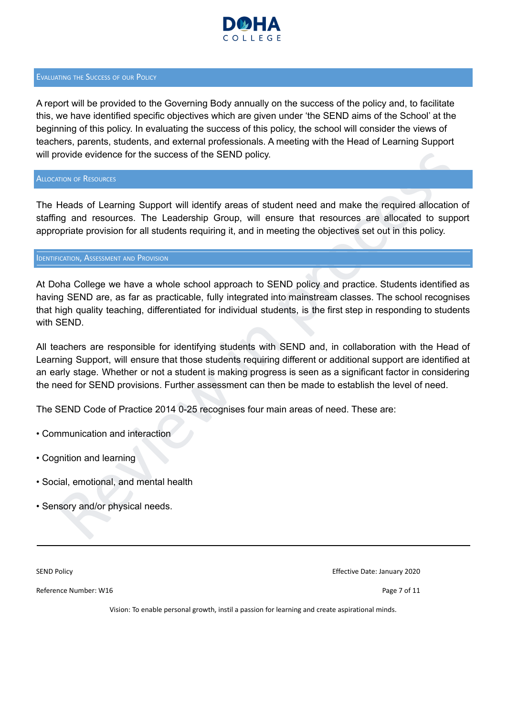

#### <span id="page-6-0"></span>EVALUATING THE SUCCESS OF OUR POLICY

A report will be provided to the Governing Body annually on the success of the policy and, to facilitate this, we have identified specific objectives which are given under 'the SEND aims of the School' at the beginning of this policy. In evaluating the success of this policy, the school will consider the views of teachers, parents, students, and external professionals. A meeting with the Head of Learning Support will provide evidence for the success of the SEND policy.

<span id="page-6-1"></span>ALLOCATION OF RESOURCES

The Heads of Learning Support will identify areas of student need and make the required allocation of staffing and resources. The Leadership Group, will ensure that resources are allocated to support appropriate provision for all students requiring it, and in meeting the objectives set out in this policy.

#### <span id="page-6-2"></span>**IDENTIFICATION, ASSESSMENT AND PROVISION**

rovide evidence for the success of the SEND policy.<br>
Neads of Learning Support will identify areas of student need and make the required allocation of<br>
Heads of Learning Support will identify areas of student need and make At Doha College we have a whole school approach to SEND policy and practice. Students identified as having SEND are, as far as practicable, fully integrated into mainstream classes. The school recognises that high quality teaching, differentiated for individual students, is the first step in responding to students with SEND.

All teachers are responsible for identifying students with SEND and, in collaboration with the Head of Learning Support, will ensure that those students requiring different or additional support are identified at an early stage. Whether or not a student is making progress is seen as a significant factor in considering the need for SEND provisions. Further assessment can then be made to establish the level of need.

The SEND Code of Practice 2014 0-25 recognises four main areas of need. These are:

- Communication and interaction
- Cognition and learning
- Social, emotional, and mental health
- Sensory and/or physical needs.

SEND Policy Effective Date: January 2020

Reference Number: W16 Page 7 of 11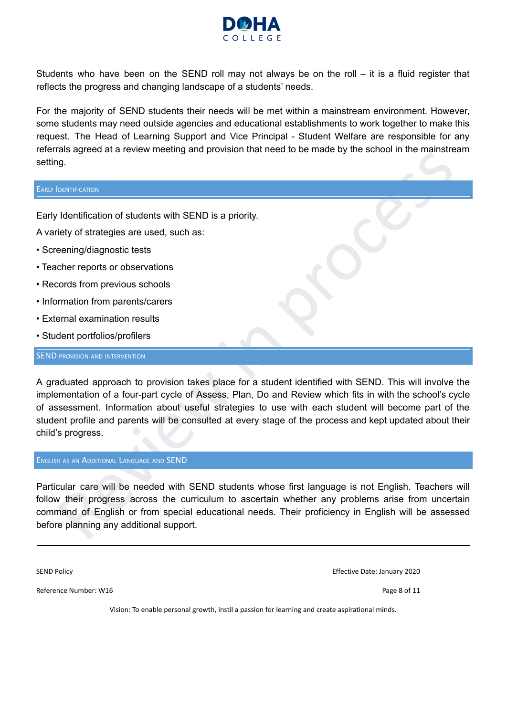

Students who have been on the SEND roll may not always be on the roll – it is a fluid register that reflects the progress and changing landscape of a students' needs.

For the majority of SEND students their needs will be met within a mainstream environment. However, some students may need outside agencies and educational establishments to work together to make this request. The Head of Learning Support and Vice Principal - Student Welfare are responsible for any referrals agreed at a review meeting and provision that need to be made by the school in the mainstream setting.

### <span id="page-7-0"></span>EARLY IDENTIFICATION

Early Identification of students with SEND is a priority.

A variety of strategies are used, such as:

- Screening/diagnostic tests
- Teacher reports or observations
- Records from previous schools
- Information from parents/carers
- External examination results
- Student portfolios/profilers

### <span id="page-7-1"></span>**SEND PROVISION AND INTERVENTION**

an sereor at a terrem intenting antiquorus in tractices to be made by the school in the manistream<br>
(g.<br>
1g.<br>
1g.<br>
1g.<br>
1g.<br>
1g. entimation form premisticares are used, such as:<br>
reming/diagnostic tests<br>
chere reports or o A graduated approach to provision takes place for a student identified with SEND. This will involve the implementation of a four-part cycle of Assess, Plan, Do and Review which fits in with the school's cycle of assessment. Information about useful strategies to use with each student will become part of the student profile and parents will be consulted at every stage of the process and kept updated about their child's progress.

#### <span id="page-7-2"></span>ENGLISH AS AN ADDITIONAL LANGUAGE AND SEND

Particular care will be needed with SEND students whose first language is not English. Teachers will follow their progress across the curriculum to ascertain whether any problems arise from uncertain command of English or from special educational needs. Their proficiency in English will be assessed before planning any additional support.

SEND Policy Effective Date: January 2020

Reference Number: W16 **Page 8 of 11**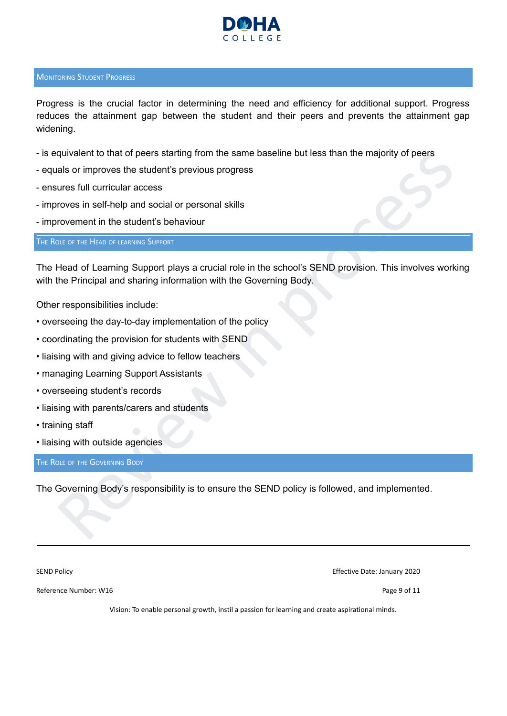

### <span id="page-8-0"></span>**MONITORING STUDENT PROGRESS**

Progress is the crucial factor in determining the need and efficiency for additional support. Progress reduces the attainment gap between the student and their peers and prevents the attainment gap widening.

- is equivalent to that of peers starting from the same baseline but less than the majority of peers
- equals or improves the student's previous progress
- ensures full curricular access
- improves in self-help and social or personal skills
- improvement in the student's behaviour

<span id="page-8-1"></span>THE ROLE OF THE HEAD OF LEARNING SUPPORT

quivalent to that of peers starting from the same baseline but less than the majority of peers<br>als or improves the student's previous progress<br>ures full curricular access<br>roves in self-help and social or personal skills<br>fo The Head of Learning Support plays a crucial role in the school's SEND provision. This involves working with the Principal and sharing information with the Governing Body.

Other responsibilities include:

- overseeing the day-to-day implementation of the policy
- coordinating the provision for students with SEND
- liaising with and giving advice to fellow teachers
- managing Learning Support Assistants
- overseeing student's records
- liaising with parents/carers and students
- training staff
- liaising with outside agencies

<span id="page-8-2"></span>THE ROLE OF THE GOVERNING BODY

The Governing Body's responsibility is to ensure the SEND policy is followed, and implemented.

SEND Policy Effective Date: January 2020

Reference Number: W16 Page 9 of 11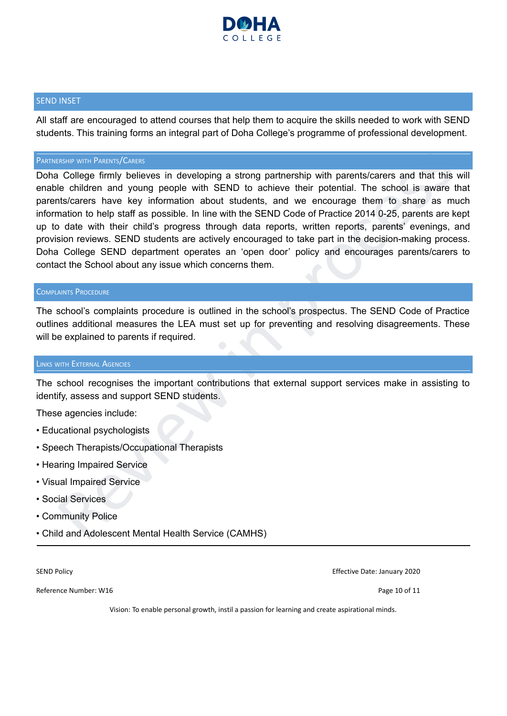

### <span id="page-9-0"></span>SEND INSET

All staff are encouraged to attend courses that help them to acquire the skills needed to work with SEND students. This training forms an integral part of Doha College's programme of professional development.

#### PARTNERSHIP WITH PARENTS/CARERS

<span id="page-9-1"></span>Review the Patters/Carries in developing a strong partnership with parents/carers and that this will<br>college firmly believes in developing a strong partnership with parents/carers and that this will<br>le children and young p Doha College firmly believes in developing a strong partnership with parents/carers and that this will enable children and young people with SEND to achieve their potential. The school is aware that parents/carers have key information about students, and we encourage them to share as much information to help staff as possible. In line with the SEND Code of Practice 2014 0-25, parents are kept up to date with their child's progress through data reports, written reports, parents' evenings, and provision reviews. SEND students are actively encouraged to take part in the decision-making process. Doha College SEND department operates an 'open door' policy and encourages parents/carers to contact the School about any issue which concerns them.

#### <span id="page-9-2"></span>COMPLAINTS PROCEDURE

The school's complaints procedure is outlined in the school's prospectus. The SEND Code of Practice outlines additional measures the LEA must set up for preventing and resolving disagreements. These will be explained to parents if required.

#### <span id="page-9-3"></span>LINKS WITH EXTERNAL AGENCIES

The school recognises the important contributions that external support services make in assisting to identify, assess and support SEND students.

These agencies include:

- Educational psychologists
- Speech Therapists/Occupational Therapists
- Hearing Impaired Service
- Visual Impaired Service
- Social Services
- Community Police
- Child and Adolescent Mental Health Service (CAMHS)

Reference Number: W16 Page 10 of 11

SEND Policy Effective Date: January 2020